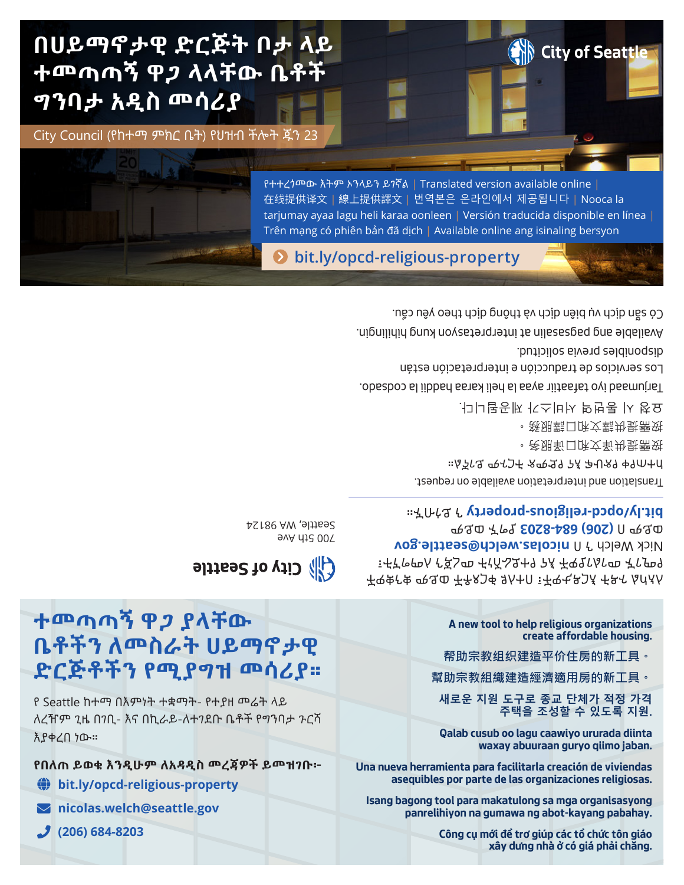# **በሀይማኖታዊ ድርጅት ቦታ ላይ**

City Council (የከተማ ምክር ቤት) የህዝብ ችሎት ጁን 23

**ተመጣጣኝ ዋጋ ላላቸው ቤቶች ግንባታ አዲስ መሳሪያ**

> Available ang pagsasalin at interpretasyon kung hihilingin. Có sẵn dịch vụ biên dịch và thông dịch theo yêu cầu.

የተተረጎመው እትም ኦንላይን ይገኛል | Translated version available online | 在线提供译文 | 線上提供譯文 | 번역본은 온라인에서 제공됩니다 | Nooca la tarjumay ayaa lagu heli karaa oonleen | Versión traducida disponible en línea |

**[bit.ly/opcd-religious-property](http://bit.ly/opcd-religious-property)**

Trên mạng có phiên bản đã dịch | Available online ang isinaling bersyon

Los servicios de traducción e interpretación están disponibles previa solicitud.

Tarjumaad iyo tafaatiir ayaa la heli karaa haddii la codsado.

요청 시 통번역 서비스가 제공됩니다.

按需提供譯文和口譯服務。

**W** City of Seattle

按需提供译文和口译服务。

Translation and interpretation available on request. ከተጠየቀ የጽሁፍ እና የድምጽ ትርጉም ይገኛል።

ቶዋቋሮቁ ሚዲዎች እንቀ እለተበ ፣ ተዋቂዶንÅ ቶዶና ልሰለለ ፣ቶኛዮሞለ ኖຊ5ጣ ቶተሸልደተፃ የ⊼ ቶዋፂናሴዮጦ ቾናምዓ **vick Welch ን በ [nicolas.welch@seattle.gov](mailto:nicolas.welch%40seattle.gov?subject=RE%3A%20Religious%20Organization%20Property)**  ያግኙ ወይም **[\(206\) 684-8203](tel:12066848203)** ወይም በ ን ይጎብኙ። **[bit.ly/opcd-religious-property](http://bit.ly/opcd-religious-property)**

700 5th Ave Seattle, WA 98124

**elities to vide (A)** 

**ተመጣጣኝ ዋጋ ያላቸው ቤቶችን ለመስራት ሀይማኖታዊ ድርጅቶችን የሚያግዝ መሳሪያ።**

የ Seattle ከተማ በእምነት ተቋማት- የተያዘ መሬት ላይ ለረዥም ጊዜ በገቢ- እና በኪራይ-ለተገደቡ ቤቶች የግንባታ ጉርሻ እያቀረበ ነው።

**የበለጠ ይወቁ እንዲሁም ለአዳዲስ መረጃዎች ይመዝገቡ፦**

- **[bit.ly/opcd-religious-property](http://bit.ly/opcd-religious-property)**
- **[nicolas.welch@seattle.gov](mailto:nicolas.welch%40seattle.gov?subject=RE%3A%20Religious%20Organization%20Property)**
- **[\(206\) 684-8203](tel:12066848203)**

**A new tool to help religious organizations create affordable housing.**

- **帮助宗教组织建造平价住房的新工具。**
- **幫助宗教組織建造經濟適用房的新工具。**

**새로운 지원 도구로 종교 단체가 적정 가격 주택을 조성할 수 있도록 지원.**

**Qalab cusub oo lagu caawiyo ururada diinta waxay abuuraan guryo qiimo jaban.**

**Una nueva herramienta para facilitarla creación de viviendas asequibles por parte de las organizaciones religiosas.**

**Isang bagong tool para makatulong sa mga organisasyong panrelihiyon na gumawa ng abot-kayang pabahay.**

> **Công cụ mới để trợ giúp các tổ chức tôn giáo xây dựng nhà ở có giá phải chăng.**